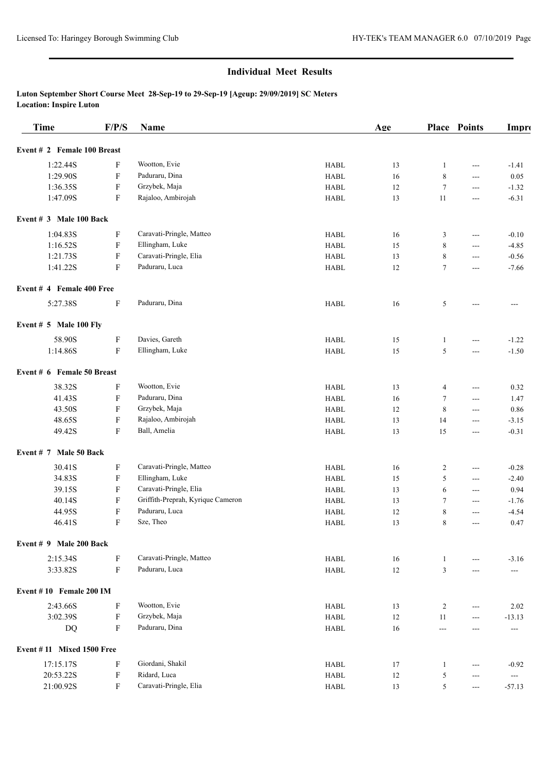### **Luton September Short Course Meet 28-Sep-19 to 29-Sep-19 [Ageup: 29/09/2019] SC Meters Location: Inspire Luton**

| <b>Time</b>                 | F/P/S                     | Name                              |                                | Age    |                  | Place Points             | Impro                    |
|-----------------------------|---------------------------|-----------------------------------|--------------------------------|--------|------------------|--------------------------|--------------------------|
| Event # 2 Female 100 Breast |                           |                                   |                                |        |                  |                          |                          |
| 1:22.44S                    | F                         | Wootton, Evie                     | <b>HABL</b>                    | 13     | 1                | $---$                    | $-1.41$                  |
| 1:29.90S                    | F                         | Paduraru, Dina                    | <b>HABL</b>                    | 16     | 8                | ---                      | 0.05                     |
| 1:36.35S                    | F                         | Grzybek, Maja                     | <b>HABL</b>                    | 12     | $\boldsymbol{7}$ | $---$                    | $-1.32$                  |
| 1:47.09S                    | F                         | Rajaloo, Ambirojah                | <b>HABL</b>                    | 13     | 11               | $---$                    | $-6.31$                  |
| Event $# 3$ Male 100 Back   |                           |                                   |                                |        |                  |                          |                          |
| 1:04.83S                    | F                         | Caravati-Pringle, Matteo          | <b>HABL</b>                    | 16     | 3                | $\overline{\phantom{a}}$ | $-0.10$                  |
| 1:16.52S                    | F                         | Ellingham, Luke                   | <b>HABL</b>                    | 15     | $\,$ 8 $\,$      | $\overline{a}$           | $-4.85$                  |
| 1:21.73S                    | F                         | Caravati-Pringle, Elia            | ${\rm H}{\bf A}{\bf B}{\bf L}$ | 13     | 8                | ---                      | $-0.56$                  |
| 1:41.22S                    | F                         | Paduraru, Luca                    | <b>HABL</b>                    | 12     | $\tau$           | $---$                    | $-7.66$                  |
| Event # 4 Female 400 Free   |                           |                                   |                                |        |                  |                          |                          |
| 5:27.38S                    | $\rm F$                   | Paduraru, Dina                    | <b>HABL</b>                    | 16     | 5                | ---                      | ---                      |
| Event $# 5$ Male 100 Fly    |                           |                                   |                                |        |                  |                          |                          |
| 58.90S                      | F                         | Davies, Gareth                    | <b>HABL</b>                    | 15     | $\mathbf{1}$     | ---                      | $-1.22$                  |
| 1:14.86S                    | F                         | Ellingham, Luke                   | <b>HABL</b>                    | 15     | 5                | $\overline{\phantom{a}}$ | $-1.50$                  |
| Event # 6 Female 50 Breast  |                           |                                   |                                |        |                  |                          |                          |
| 38.32S                      | F                         | Wootton, Evie                     | <b>HABL</b>                    | 13     | $\overline{4}$   | $\hspace{0.05cm} \ldots$ | 0.32                     |
| 41.43S                      | $\boldsymbol{\mathrm{F}}$ | Paduraru, Dina                    | <b>HABL</b>                    | 16     | $\tau$           | $\hspace{0.05cm} \ldots$ | 1.47                     |
| 43.50S                      | F                         | Grzybek, Maja                     | <b>HABL</b>                    | 12     | 8                | $\hspace{0.05cm} \ldots$ | 0.86                     |
| 48.65S                      | F                         | Rajaloo, Ambirojah                | <b>HABL</b>                    | 13     | 14               | $\hspace{0.05cm} \ldots$ | $-3.15$                  |
| 49.42S                      | F                         | Ball, Amelia                      | <b>HABL</b>                    | 13     | 15               | $---$                    | $-0.31$                  |
| Event # 7 Male 50 Back      |                           |                                   |                                |        |                  |                          |                          |
| 30.41S                      | $\mathbf F$               | Caravati-Pringle, Matteo          | <b>HABL</b>                    | 16     | $\overline{c}$   | $\hspace{0.05cm} \ldots$ | $-0.28$                  |
| 34.83S                      | ${\bf F}$                 | Ellingham, Luke                   | <b>HABL</b>                    | 15     | 5                | $\overline{\phantom{a}}$ | $-2.40$                  |
| 39.15S                      | ${\bf F}$                 | Caravati-Pringle, Elia            | <b>HABL</b>                    | 13     | 6                | $\overline{\phantom{a}}$ | 0.94                     |
| 40.14S                      | F                         | Griffith-Preprah, Kyrique Cameron | <b>HABL</b>                    | 13     | $\tau$           | $\sim$ $\sim$            | $-1.76$                  |
| 44.95S                      | $\rm F$                   | Paduraru, Luca                    | <b>HABL</b>                    | 12     | $\,$ $\,$        | ---                      | $-4.54$                  |
| 46.41S                      | F                         | Sze, Theo                         | <b>HABL</b>                    | 13     | 8                | $---$                    | 0.47                     |
| Event # 9 Male 200 Back     |                           |                                   |                                |        |                  |                          |                          |
| 2:15.34S                    | F                         | Caravati-Pringle, Matteo          | <b>HABL</b>                    | 16     | $\mathbf{1}$     |                          | $-3.16$                  |
| 3:33.82S                    | $\boldsymbol{\mathrm{F}}$ | Paduraru, Luca                    | <b>HABL</b>                    | $12\,$ | $\mathfrak{Z}$   | ---                      | $---$                    |
| Event #10 Female 200 IM     |                           |                                   |                                |        |                  |                          |                          |
| 2:43.66S                    | $\rm F$                   | Wootton, Evie                     | <b>HABL</b>                    | 13     | $\overline{c}$   | ---                      | 2.02                     |
| 3:02.39S                    | F                         | Grzybek, Maja                     | <b>HABL</b>                    | 12     | 11               | ---                      | $-13.13$                 |
| <b>DQ</b>                   | ${\rm F}$                 | Paduraru, Dina                    | <b>HABL</b>                    | 16     | ---              | ---                      | $\sim$ $\sim$            |
| Event #11 Mixed 1500 Free   |                           |                                   |                                |        |                  |                          |                          |
| 17:15.17S                   | F                         | Giordani, Shakil                  | <b>HABL</b>                    | 17     | $\mathbf{1}$     | $\hspace{0.05cm} \ldots$ | $-0.92$                  |
| 20:53.22S                   | $\mathbf F$               | Ridard, Luca                      | <b>HABL</b>                    | $12\,$ | 5                | $\hspace{0.05cm} \ldots$ | $\overline{\phantom{a}}$ |
| 21:00.92S                   | $\mathbf F$               | Caravati-Pringle, Elia            | ${\rm H}{\bf A}{\bf B}{\bf L}$ | 13     | 5                | $\hspace{0.05cm} \ldots$ | $-57.13$                 |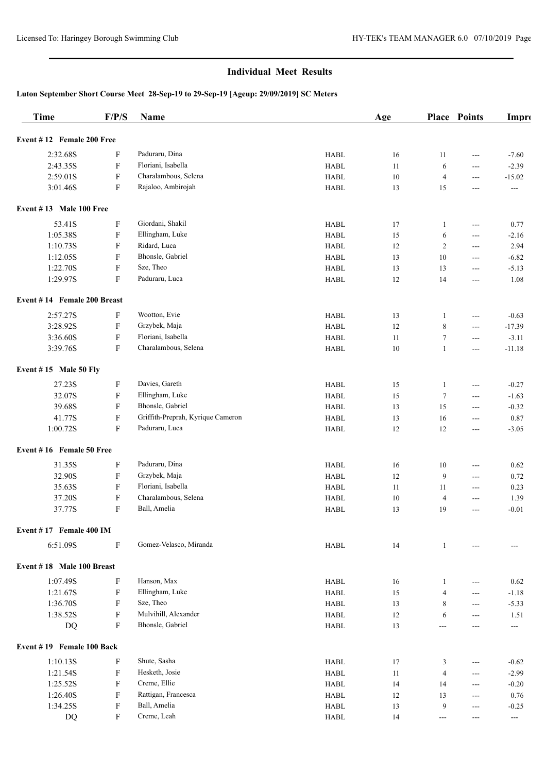## **Luton September Short Course Meet 28-Sep-19 to 29-Sep-19 [Ageup: 29/09/2019] SC Meters**

| <b>Time</b>                 | F/P/S                     | Name                              |                                | Age |                  | Place Points               | Impro             |
|-----------------------------|---------------------------|-----------------------------------|--------------------------------|-----|------------------|----------------------------|-------------------|
| Event #12 Female 200 Free   |                           |                                   |                                |     |                  |                            |                   |
| 2:32.68S                    | F                         | Paduraru, Dina                    | <b>HABL</b>                    | 16  | 11               | $---$                      | $-7.60$           |
| 2:43.35S                    | $\boldsymbol{\mathrm{F}}$ | Floriani, Isabella                | <b>HABL</b>                    | 11  | 6                | $---$                      | $-2.39$           |
| 2:59.01S                    | $\boldsymbol{\mathrm{F}}$ | Charalambous, Selena              | <b>HABL</b>                    | 10  | $\overline{4}$   | $\sim$ $\sim$              | $-15.02$          |
| 3:01.46S                    | $\boldsymbol{\mathrm{F}}$ | Rajaloo, Ambirojah                | <b>HABL</b>                    | 13  | 15               | $---$                      | ---               |
| Event $#13$ Male 100 Free   |                           |                                   |                                |     |                  |                            |                   |
| 53.41S                      | ${\bf F}$                 | Giordani, Shakil                  | <b>HABL</b>                    | 17  | 1                | $\hspace{0.05cm} \ldots$   | 0.77              |
| 1:05.38S                    | $\boldsymbol{\mathrm{F}}$ | Ellingham, Luke                   | <b>HABL</b>                    | 15  | 6                | $\hspace{0.05cm} \ldots$   | $-2.16$           |
| 1:10.73S                    | F                         | Ridard, Luca                      | <b>HABL</b>                    | 12  | $\overline{c}$   | $\hspace{0.05cm} \ldots$   | 2.94              |
| 1:12.05S                    | F                         | Bhonsle, Gabriel                  | <b>HABL</b>                    | 13  | 10               | $\hspace{0.05cm} \ldots$   | $-6.82$           |
| 1:22.70S                    | $\boldsymbol{\mathrm{F}}$ | Sze, Theo                         | <b>HABL</b>                    | 13  | 13               | $\hspace{0.05cm} \ldots$   | $-5.13$           |
| 1:29.97S                    | $\boldsymbol{\mathrm{F}}$ | Paduraru, Luca                    | <b>HABL</b>                    | 12  | 14               | $\hspace{0.05cm} \ldots$   | 1.08              |
| Event #14 Female 200 Breast |                           |                                   |                                |     |                  |                            |                   |
| 2:57.27S                    | F                         | Wootton, Evie                     | <b>HABL</b>                    | 13  | 1                | ---                        | $-0.63$           |
| 3:28.92S                    | F                         | Grzybek, Maja                     | <b>HABL</b>                    | 12  | 8                | ---                        | $-17.39$          |
| 3:36.60S                    | F                         | Floriani, Isabella                | <b>HABL</b>                    | 11  | $\boldsymbol{7}$ | ---                        | $-3.11$           |
| 3:39.76S                    | F                         | Charalambous, Selena              | <b>HABL</b>                    | 10  | $\mathbf{1}$     | ---                        | $-11.18$          |
| Event $# 15$ Male 50 Fly    |                           |                                   |                                |     |                  |                            |                   |
| 27.23S                      | F                         | Davies, Gareth                    | <b>HABL</b>                    | 15  | 1                | $---$                      | $-0.27$           |
| 32.07S                      | F                         | Ellingham, Luke                   | <b>HABL</b>                    | 15  | $\tau$           | $\sim$ $\sim$              | $-1.63$           |
| 39.68S                      | F                         | Bhonsle, Gabriel                  | <b>HABL</b>                    | 13  | 15               | $\sim$ $\sim$              | $-0.32$           |
| 41.77S                      | F                         | Griffith-Preprah, Kyrique Cameron | <b>HABL</b>                    | 13  | 16               | $\hspace{0.05cm} \ldots$   | 0.87              |
| 1:00.72S                    | $\boldsymbol{\mathrm{F}}$ | Paduraru, Luca                    | <b>HABL</b>                    | 12  | 12               | $\hspace{0.05cm} \ldots$   | $-3.05$           |
| Event #16 Female 50 Free    |                           |                                   |                                |     |                  |                            |                   |
| 31.35S                      | F                         | Paduraru, Dina                    | <b>HABL</b>                    | 16  | 10               | $---$                      | 0.62              |
| 32.90S                      | F                         | Grzybek, Maja                     | <b>HABL</b>                    | 12  | 9                | $\hspace{0.05cm} \ldots$   | 0.72              |
| 35.63S                      | $\boldsymbol{\mathrm{F}}$ | Floriani, Isabella                | <b>HABL</b>                    | 11  | 11               | $\hspace{0.05cm} \ldots$   | 0.23              |
| 37.20S                      | $\boldsymbol{\mathrm{F}}$ | Charalambous, Selena              | <b>HABL</b>                    | 10  | $\overline{4}$   | ---                        | 1.39              |
| 37.77S                      | F                         | Ball, Amelia                      | <b>HABL</b>                    | 13  | 19               | $---$                      | $-0.01$           |
| Event #17 Female 400 IM     |                           |                                   |                                |     |                  |                            |                   |
| 6:51.09S                    | $\boldsymbol{\mathrm{F}}$ | Gomez-Velasco, Miranda            | ${\rm H}{\sf A}{\sf B}{\sf L}$ | 14  | $\mathbf{1}$     |                            |                   |
| Event #18 Male 100 Breast   |                           |                                   |                                |     |                  |                            |                   |
| 1:07.49S                    | F                         | Hanson, Max                       | <b>HABL</b>                    | 16  | $\mathbf{1}$     | ---                        | 0.62              |
| 1:21.67S                    | F                         | Ellingham, Luke                   | <b>HABL</b>                    | 15  | $\overline{4}$   | ---                        | $-1.18$           |
| 1:36.70S                    | F                         | Sze, Theo                         | <b>HABL</b>                    | 13  | 8                | $\qquad \qquad \text{---}$ | $-5.33$           |
| 1:38.52S                    | F                         | Mulvihill, Alexander              | <b>HABL</b>                    | 12  | 6                | $\qquad \qquad \text{---}$ | 1.51              |
| DQ                          | F                         | Bhonsle, Gabriel                  | <b>HABL</b>                    | 13  | $---$            | $---$                      | $\qquad \qquad -$ |
| Event #19 Female 100 Back   |                           |                                   |                                |     |                  |                            |                   |
| 1:10.13S                    | F                         | Shute, Sasha                      | <b>HABL</b>                    | 17  | 3                | $\qquad \qquad \text{---}$ | $-0.62$           |
| 1:21.54S                    | ${\bf F}$                 | Hesketh, Josie                    | <b>HABL</b>                    | 11  | $\overline{4}$   | $---$                      | $-2.99$           |
| 1:25.52S                    | $\boldsymbol{\mathrm{F}}$ | Creme, Ellie                      | <b>HABL</b>                    | 14  | 14               | $---$                      | $-0.20$           |
| 1:26.40S                    | F                         | Rattigan, Francesca               | <b>HABL</b>                    | 12  | 13               | $---$                      | 0.76              |
| 1:34.25S                    | ${\bf F}$                 | Ball, Amelia                      | ${\rm H}{\bf A}{\bf B}{\bf L}$ | 13  | 9                | $---$                      | $-0.25$           |
| DQ                          | F                         | Creme, Leah                       | ${\rm H}{\sf A}{\sf B}{\sf L}$ | 14  | $\overline{a}$   | $---$                      | ---               |
|                             |                           |                                   |                                |     |                  |                            |                   |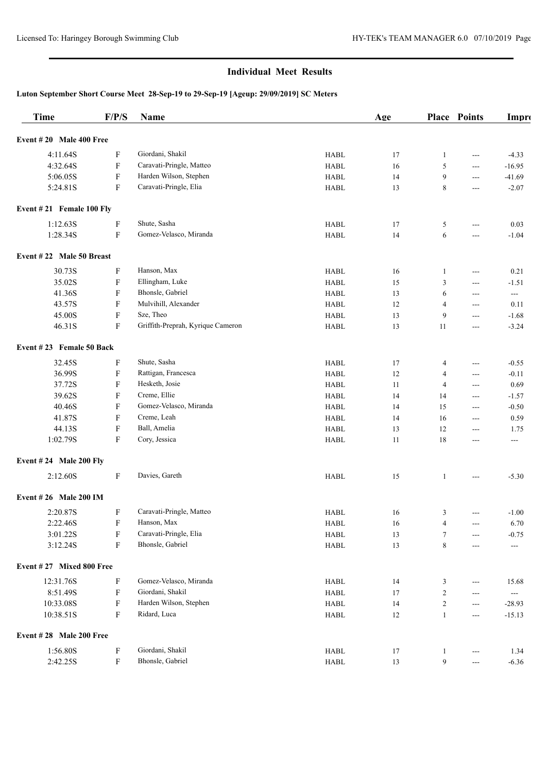## **Luton September Short Course Meet 28-Sep-19 to 29-Sep-19 [Ageup: 29/09/2019] SC Meters**

| <b>Time</b> |                              | F/P/S                     | Name                                       |                                | Age    |                  | Place Points             | Impro                    |
|-------------|------------------------------|---------------------------|--------------------------------------------|--------------------------------|--------|------------------|--------------------------|--------------------------|
|             | Event $#20$ Male 400 Free    |                           |                                            |                                |        |                  |                          |                          |
|             | 4:11.64S                     | F                         | Giordani, Shakil                           | <b>HABL</b>                    | 17     | $\mathbf{1}$     | $---$                    | $-4.33$                  |
|             | 4:32.64S                     | F                         | Caravati-Pringle, Matteo                   | <b>HABL</b>                    | 16     | 5                | $---$                    | $-16.95$                 |
|             | 5:06.05S                     | $\boldsymbol{\mathrm{F}}$ | Harden Wilson, Stephen                     | <b>HABL</b>                    | 14     | 9                | $---$                    | $-41.69$                 |
|             | 5:24.81S                     | ${\bf F}$                 | Caravati-Pringle, Elia                     | <b>HABL</b>                    | 13     | 8                | ---                      | $-2.07$                  |
|             | Event $#21$ Female 100 Fly   |                           |                                            |                                |        |                  |                          |                          |
|             | 1:12.63S                     | ${\bf F}$                 | Shute, Sasha                               | <b>HABL</b>                    | 17     | 5                | $---$                    | 0.03                     |
|             | 1:28.34S                     | F                         | Gomez-Velasco, Miranda                     | <b>HABL</b>                    | 14     | 6                | $---$                    | $-1.04$                  |
|             | Event #22 Male 50 Breast     |                           |                                            |                                |        |                  |                          |                          |
|             | 30.73S                       | F                         | Hanson, Max                                | <b>HABL</b>                    | 16     | 1                | $---$                    | 0.21                     |
|             | 35.02S                       | F                         | Ellingham, Luke                            | <b>HABL</b>                    | 15     | 3                | ---                      | $-1.51$                  |
|             | 41.36S                       | F                         | Bhonsle, Gabriel                           | <b>HABL</b>                    | 13     | 6                | ---                      | $\hspace{0.05cm} \ldots$ |
|             | 43.57S                       | F                         | Mulvihill, Alexander                       | <b>HABL</b>                    | 12     | $\overline{4}$   | ---                      | 0.11                     |
|             | 45.00S                       | ${\bf F}$                 | Sze, Theo                                  | <b>HABL</b>                    | 13     | 9                | ---                      | $-1.68$                  |
|             | 46.31S                       | F                         | Griffith-Preprah, Kyrique Cameron          | <b>HABL</b>                    | 13     | 11               | $---$                    | $-3.24$                  |
|             | Event #23 Female 50 Back     |                           |                                            |                                |        |                  |                          |                          |
|             | 32.45S                       | F                         | Shute, Sasha                               | <b>HABL</b>                    | 17     | 4                | ---                      | $-0.55$                  |
|             | 36.99S                       | F                         | Rattigan, Francesca                        | <b>HABL</b>                    | 12     | $\overline{4}$   | $---$                    | $-0.11$                  |
|             | 37.72S                       | F                         | Hesketh, Josie                             | <b>HABL</b>                    | 11     | $\overline{4}$   | $\overline{\phantom{a}}$ | 0.69                     |
|             | 39.62S                       | F                         | Creme, Ellie                               | <b>HABL</b>                    | 14     | 14               | $\overline{\phantom{a}}$ | $-1.57$                  |
|             | 40.46S                       | F                         | Gomez-Velasco, Miranda                     | <b>HABL</b>                    | 14     | 15               | $\overline{\phantom{a}}$ | $-0.50$                  |
|             | 41.87S                       | F                         | Creme, Leah                                | <b>HABL</b>                    | 14     | 16               | $---$                    | 0.59                     |
|             | 44.13S                       | F                         | Ball, Amelia                               | <b>HABL</b>                    | 13     | 12               |                          | 1.75                     |
|             | 1:02.79S                     | F                         | Cory, Jessica                              | <b>HABL</b>                    | 11     | 18               | $---$<br>---             | ---                      |
|             | Event #24 Male 200 Fly       |                           |                                            |                                |        |                  |                          |                          |
|             | 2:12.60S                     | F                         | Davies, Gareth                             | <b>HABL</b>                    | 15     | 1                | $---$                    | $-5.30$                  |
|             | <b>Event #26 Male 200 IM</b> |                           |                                            |                                |        |                  |                          |                          |
|             | 2:20.87S                     | F                         | Caravati-Pringle, Matteo                   | <b>HABL</b>                    | 16     | 3                | $---$                    | $-1.00$                  |
|             | 2:22.46S                     | $\mathbf F$               | Hanson, Max                                | <b>HABL</b>                    | $16\,$ | $\overline{4}$   | ---                      | 6.70                     |
|             | 3:01.22S                     | F                         | Caravati-Pringle, Elia                     | HABL                           | 13     | $\tau$           | ---                      | $-0.75$                  |
|             | 3:12.24S                     | ${\bf F}$                 | Bhonsle, Gabriel                           | ${\rm H}{\bf A}{\bf B}{\bf L}$ | 13     | $\,8\,$          | ---                      | $\hspace{0.05cm} \ldots$ |
|             | Event #27 Mixed 800 Free     |                           |                                            |                                |        |                  |                          |                          |
|             |                              |                           |                                            |                                |        |                  |                          |                          |
|             | 12:31.76S                    | F                         | Gomez-Velasco, Miranda<br>Giordani, Shakil | ${\rm H}{\sf A}{\sf B}{\sf L}$ | 14     | 3                | ---                      | 15.68                    |
|             | 8:51.49S                     | F                         | Harden Wilson, Stephen                     | ${\rm H}{\bf A}{\bf B}{\bf L}$ | 17     | $\overline{c}$   | ---                      | $\hspace{0.05cm} \ldots$ |
|             | 10:33.08S                    | F                         |                                            | ${\rm H}{\bf A}{\bf B}{\bf L}$ | 14     | $\overline{c}$   | $---$                    | $-28.93$                 |
|             | 10:38.51S                    | ${\bf F}$                 | Ridard, Luca                               | ${\rm H}{\bf A}{\bf B}{\bf L}$ | 12     | $\mathbf{1}$     | $---$                    | $-15.13$                 |
|             | Event #28 Male 200 Free      |                           |                                            |                                |        |                  |                          |                          |
|             | 1:56.80S                     | $\boldsymbol{\mathrm{F}}$ | Giordani, Shakil                           | <b>HABL</b>                    | 17     | $\mathbf{1}$     | ---                      | 1.34                     |
|             | 2:42.25S                     | ${\bf F}$                 | Bhonsle, Gabriel                           | <b>HABL</b>                    | 13     | $\boldsymbol{9}$ | ---                      | $-6.36$                  |